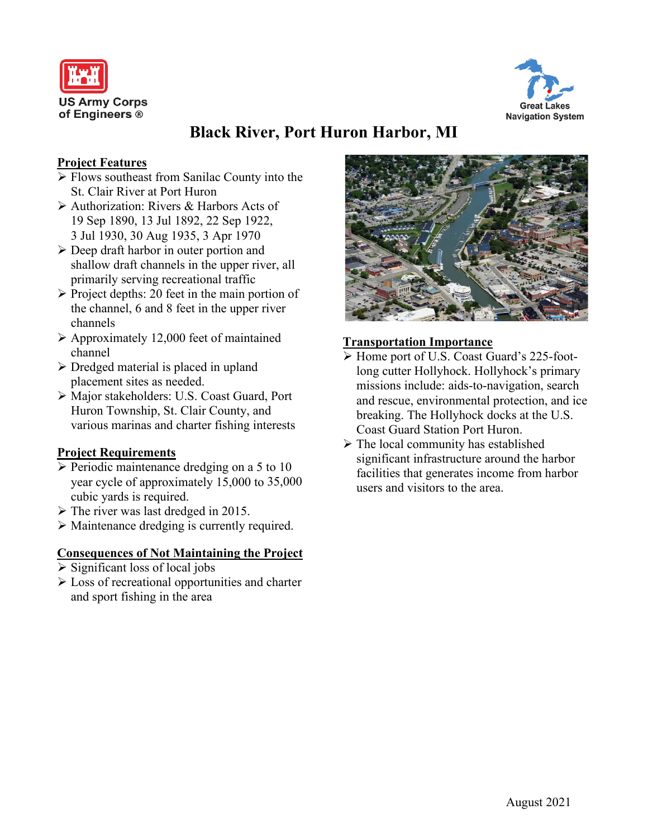



# **Black River, Port Huron Harbor, MI**

# **Project Features**

- $\triangleright$  Flows southeast from Sanilac County into the St. Clair River at Port Huron
- Authorization: Rivers & Harbors Acts of 19 Sep 1890, 13 Jul 1892, 22 Sep 1922, 3 Jul 1930, 30 Aug 1935, 3 Apr 1970
- $\triangleright$  Deep draft harbor in outer portion and shallow draft channels in the upper river, all primarily serving recreational traffic
- $\triangleright$  Project depths: 20 feet in the main portion of the channel, 6 and 8 feet in the upper river channels
- Approximately 12,000 feet of maintained channel
- $\triangleright$  Dredged material is placed in upland placement sites as needed.
- Major stakeholders: U.S. Coast Guard, Port Huron Township, St. Clair County, and various marinas and charter fishing interests

## **Project Requirements**

- $\triangleright$  Periodic maintenance dredging on a 5 to 10 year cycle of approximately 15,000 to 35,000 cubic yards is required.
- $\triangleright$  The river was last dredged in 2015.
- Maintenance dredging is currently required.

## **Consequences of Not Maintaining the Project**

- $\triangleright$  Significant loss of local jobs
- Loss of recreational opportunities and charter and sport fishing in the area



# **Transportation Importance**

- Home port of U.S. Coast Guard's 225-footlong cutter Hollyhock. Hollyhock's primary missions include: aids-to-navigation, search and rescue, environmental protection, and ice breaking. The Hollyhock docks at the U.S. Coast Guard Station Port Huron.
- $\triangleright$  The local community has established significant infrastructure around the harbor facilities that generates income from harbor users and visitors to the area.